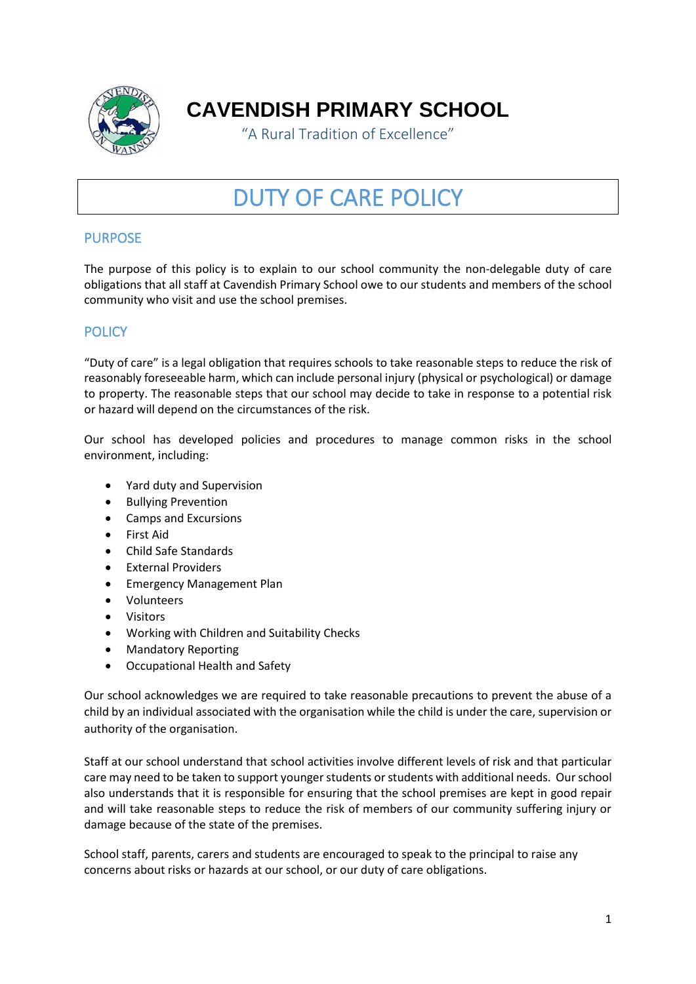

**CAVENDISH PRIMARY SCHOOL**

"A Rural Tradition of Excellence"

# DUTY OF CARE POLICY

## PURPOSE

The purpose of this policy is to explain to our school community the non-delegable duty of care obligations that all staff at Cavendish Primary School owe to our students and members of the school community who visit and use the school premises.

# **POLICY**

"Duty of care" is a legal obligation that requires schools to take reasonable steps to reduce the risk of reasonably foreseeable harm, which can include personal injury (physical or psychological) or damage to property. The reasonable steps that our school may decide to take in response to a potential risk or hazard will depend on the circumstances of the risk.

Our school has developed policies and procedures to manage common risks in the school environment, including:

- Yard duty and Supervision
- Bullying Prevention
- Camps and Excursions
- First Aid
- Child Safe Standards
- External Providers
- Emergency Management Plan
- Volunteers
- Visitors
- Working with Children and Suitability Checks
- Mandatory Reporting
- Occupational Health and Safety

Our school acknowledges we are required to take reasonable precautions to prevent the abuse of a child by an individual associated with the organisation while the child is under the care, supervision or authority of the organisation.

Staff at our school understand that school activities involve different levels of risk and that particular care may need to be taken to support younger students or students with additional needs. Our school also understands that it is responsible for ensuring that the school premises are kept in good repair and will take reasonable steps to reduce the risk of members of our community suffering injury or damage because of the state of the premises.

School staff, parents, carers and students are encouraged to speak to the principal to raise any concerns about risks or hazards at our school, or our duty of care obligations.